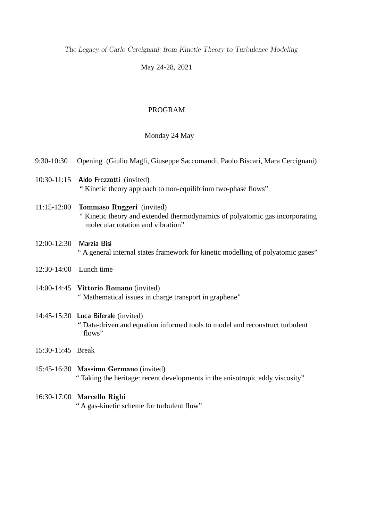The Legacy of Carlo Cercignani: from Kinetic Theory to Turbulence Modeling

# May 24-28, 2021

# PROGRAM

# Monday 24 May

| 9:30-10:30             | Opening (Giulio Magli, Giuseppe Saccomandi, Paolo Biscari, Mara Cercignani)                                                                    |
|------------------------|------------------------------------------------------------------------------------------------------------------------------------------------|
| 10:30-11:15            | Aldo Frezzotti (invited)<br>"Kinetic theory approach to non-equilibrium two-phase flows"                                                       |
| 11:15-12:00            | Tommaso Ruggeri (invited)<br>" Kinetic theory and extended thermodynamics of polyatomic gas incorporating<br>molecular rotation and vibration" |
| 12:00-12:30            | Marzia Bisi<br>"A general internal states framework for kinetic modelling of polyatomic gases"                                                 |
| 12:30-14:00 Lunch time |                                                                                                                                                |
|                        | 14:00-14:45 Vittorio Romano (invited)<br>" Mathematical issues in charge transport in graphene"                                                |
|                        | 14:45-15:30 Luca Biferale (invited)<br>" Data-driven and equation informed tools to model and reconstruct turbulent<br>flows"                  |
| 15:30-15:45 Break      |                                                                                                                                                |
|                        | 15:45-16:30 Massimo Germano (invited)<br>"Taking the heritage: recent developments in the anisotropic eddy viscosity"                          |
|                        | 16:30-17:00 Marcello Righi<br>" A gas-kinetic scheme for turbulent flow"                                                                       |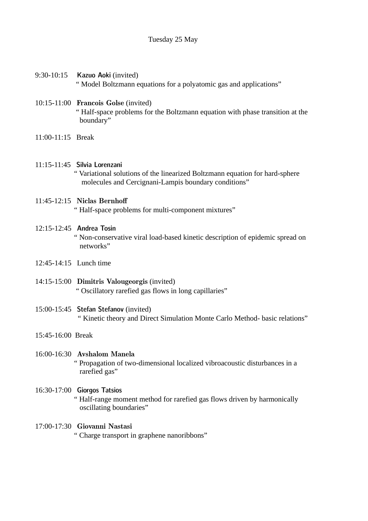## Tuesday 25 May

- 9:30-10:15 Kazuo Aoki (invited) " Model Boltzmann equations for a polyatomic gas and applications"
- 10:15-11:00 Francois Golse (invited) " Half-space problems for the Boltzmann equation with phase transition at the boundary"
- 11:00-11:15 Break
- 11:15-11:45 Silvia Lorenzani
	- " Variational solutions of the linearized Boltzmann equation for hard-sphere molecules and Cercignani-Lampis boundary conditions"

## 11:45-12:15 Niclas Bernhof

" Half-space problems for multi-component mixtures"

#### 12:15-12:45 Andrea Tosin

 " Non-conservative viral load-based kinetic description of epidemic spread on networks"

- 12:45-14:15 Lunch time
- 14:15-15:00 Dimitris Valougeorgis (invited) " Oscillatory rarefied gas flows in long capillaries"
- 15:00-15:45 Stefan Stefanov (invited) " Kinetic theory and Direct Simulation Monte Carlo Method- basic relations"

## 15:45-16:00 Break

# 16:00-16:30 Avshalom Manela " Propagation of two-dimensional localized vibroacoustic disturbances in a rarefied gas"

16:30-17:00 Giorgos Tatsios " Half-range moment method for rarefied gas flows driven by harmonically oscillating boundaries"

#### 17:00-17:30 Giovanni Nastasi

" Charge transport in graphene nanoribbons"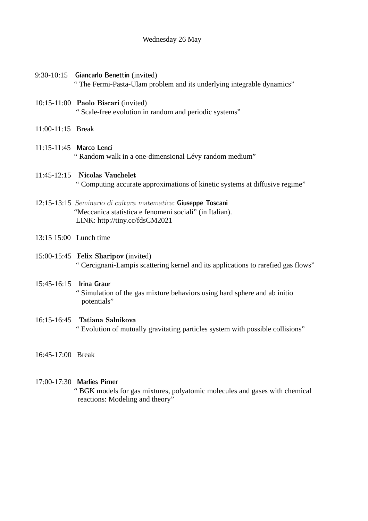#### Wednesday 26 May

- 9:30-10:15 Giancarlo Benettin (invited) " The Fermi-Pasta-Ulam problem and its underlying integrable dynamics"
- 10:15-11:00 Paolo Biscari (invited) " Scale-free evolution in random and periodic systems"
- 11:00-11:15 Break
- 11:15-11:45 Marco Lenci " Random walk in a one-dimensional Lévy random medium"
- 11:45-12:15 Nicolas Vauchelet " Computing accurate approximations of kinetic systems at diffusive regime"
- 12:15-13:15 Seminario di cultura matematica: Giuseppe Toscani "Meccanica statistica e fenomeni sociali" (in Italian). LINK: http://tiny.cc/fdsCM2021
- 13:15 15:00 Lunch time
- 15:00-15:45 Felix Sharipov (invited) " Cercignani-Lampis scattering kernel and its applications to rarefied gas flows"
- 15:45-16:15 Irina Graur " Simulation of the gas mixture behaviors using hard sphere and ab initio potentials"
- 16:15-16:45 Tatiana Salnikova " Evolution of mutually gravitating particles system with possible collisions"
- 16:45-17:00 Break

# 17:00-17:30 Marlies Pirner

 " BGK models for gas mixtures, polyatomic molecules and gases with chemical reactions: Modeling and theory"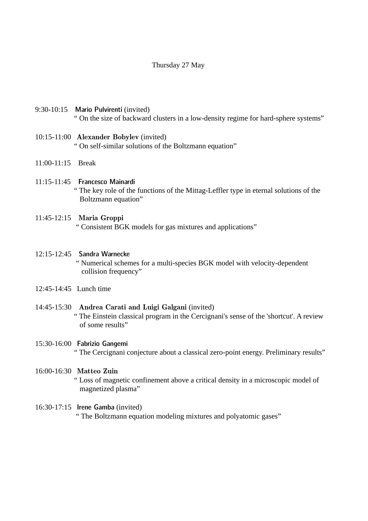#### Thursday 27 May

- 9:30-10:15 Mario Pulvirenti (invited) " On the size of backward clusters in a low-density regime for hard-sphere systems"
- 10:15-11:00 Alexander Bobylev (invited) " On self-similar solutions of the Boltzmann equation"
- 11:00-11:15 Break
- 11:15-11:45 Francesco Mainardi " The key role of the functions of the Mittag-Leffler type in eternal solutions of the Boltzmann equation"

#### 11:45-12:15 Maria Groppi

" Consistent BGK models for gas mixtures and applications"

#### 12:15-12:45 Sandra Warnecke

 " Numerical schemes for a multi-species BGK model with velocity-dependent collision frequency"

- 12:45-14:45 Lunch time
- 14:45-15:30 Andrea Carati and Luigi Galgani (invited) " The Einstein classical program in the Cercignani's sense of the 'shortcut'. A review of some results"

### 15:30-16:00 Fabrizio Gangemi " The Cercignani conjecture about a classical zero-point energy. Preliminary results"

#### 16:00-16:30 Matteo Zuin

 " Loss of magnetic confinement above a critical density in a microscopic model of magnetized plasma"

#### 16:30-17:15 Irene Gamba (invited)

" The Boltzmann equation modeling mixtures and polyatomic gases"